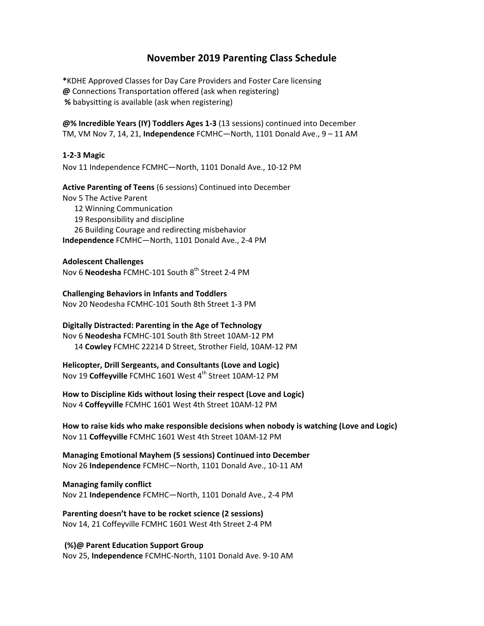# **November 2019 Parenting Class Schedule**

**\***KDHE Approved Classes for Day Care Providers and Foster Care licensing **@** Connections Transportation offered (ask when registering) **%** babysitting is available (ask when registering)

**@% Incredible Years (IY) Toddlers Ages 1‐3** (13 sessions) continued into December TM, VM Nov 7, 14, 21, **Independence** FCMHC—North, 1101 Donald Ave., 9 – 11 AM

## **1‐2‐3 Magic**

Nov 11 Independence FCMHC—North, 1101 Donald Ave., 10‐12 PM

## **Active Parenting of Teens** (6 sessions) Continued into December

Nov 5 The Active Parent

- 12 Winning Communication
- 19 Responsibility and discipline
- 26 Building Courage and redirecting misbehavior

**Independence** FCMHC—North, 1101 Donald Ave., 2‐4 PM

### **Adolescent Challenges**

Nov 6 **Neodesha** FCMHC-101 South 8<sup>th</sup> Street 2-4 PM

**Challenging Behaviors in Infants and Toddlers** Nov 20 Neodesha FCMHC‐101 South 8th Street 1‐3 PM

**Digitally Distracted: Parenting in the Age of Technology**

Nov 6 **Neodesha** FCMHC‐101 South 8th Street 10AM‐12 PM 14 **Cowley** FCMHC 22214 D Street, Strother Field, 10AM‐12 PM

**Helicopter, Drill Sergeants, and Consultants (Love and Logic)** Nov 19 Coffeyville FCMHC 1601 West 4<sup>th</sup> Street 10AM-12 PM

**How to Discipline Kids without losing their respect (Love and Logic)** Nov 4 **Coffeyville** FCMHC 1601 West 4th Street 10AM‐12 PM

**How to raise kids who make responsible decisions when nobody is watching (Love and Logic)** Nov 11 **Coffeyville** FCMHC 1601 West 4th Street 10AM‐12 PM

**Managing Emotional Mayhem (5 sessions) Continued into December** Nov 26 **Independence** FCMHC—North, 1101 Donald Ave., 10‐11 AM

**Managing family conflict** Nov 21 **Independence** FCMHC—North, 1101 Donald Ave., 2‐4 PM

**Parenting doesn't have to be rocket science (2 sessions)** Nov 14, 21 Coffeyville FCMHC 1601 West 4th Street 2‐4 PM

**(%)@ Parent Education Support Group**  Nov 25, **Independence** FCMHC‐North, 1101 Donald Ave. 9‐10 AM